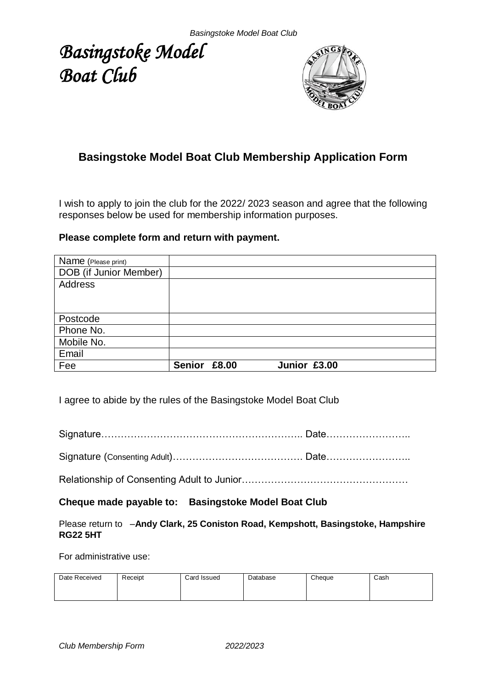# *Basingstoke Model Boat Club*



## **Basingstoke Model Boat Club Membership Application Form**

I wish to apply to join the club for the 2022/ 2023 season and agree that the following responses below be used for membership information purposes.

#### **Please complete form and return with payment.**

| Name (Please print)    |               |       |              |  |
|------------------------|---------------|-------|--------------|--|
| DOB (if Junior Member) |               |       |              |  |
| Address                |               |       |              |  |
|                        |               |       |              |  |
|                        |               |       |              |  |
| Postcode               |               |       |              |  |
| Phone No.              |               |       |              |  |
| Mobile No.             |               |       |              |  |
| Email                  |               |       |              |  |
| Fee                    | <b>Senior</b> | £8.00 | Junior £3.00 |  |

I agree to abide by the rules of the Basingstoke Model Boat Club

Signature…………………………………………………….. Date……………………..

Signature (Consenting Adult)…………………………………. Date……………………..

Relationship of Consenting Adult to Junior……………………………………………

**Cheque made payable to: Basingstoke Model Boat Club**

Please return to –**Andy Clark, 25 Coniston Road, Kempshott, Basingstoke, Hampshire RG22 5HT**

For administrative use:

| Date Received | Receipt | Card Issued | Database | Cheaue | Cash |
|---------------|---------|-------------|----------|--------|------|
|               |         |             |          |        |      |
|               |         |             |          |        |      |